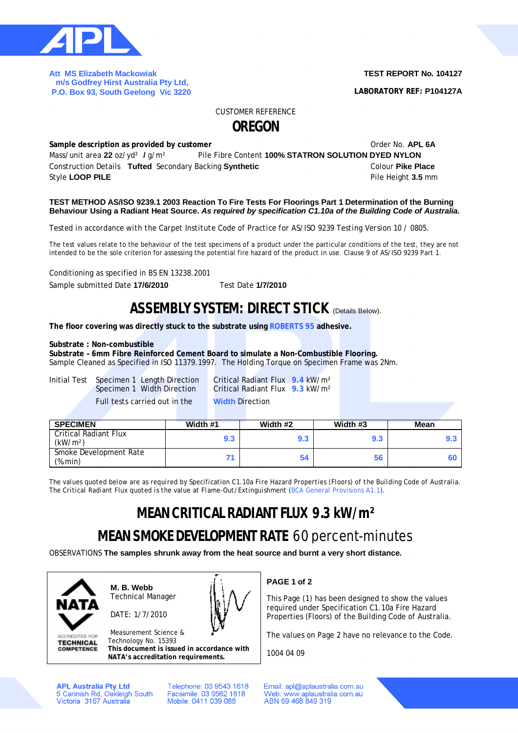

**Att MS Elizabeth Mackowiak m/s Godfrey Hirst Australia Pty Ltd, P.O. Box 93, South Geelong Vic 3220** 

#### **TEST REPORT No. 104127**

**LABORATORY REF: P104127A**

CUSTOMER REFERENCE

## **OREGON**

**Sample description as provided by customer COVID-100 COVID-100 COVID-100 COVID-100 COVID-100 COVID-100 COVID-100 COVID-100 COVID-100 COVID-100 COVID-100 COVID-100 COVID-100 COVID-100 COVID-100 COVID-100 COVID-100 COVID-**Mass/unit area **22** oz/yd² **/** g/m² Pile Fibre Content **100% STATRON SOLUTION DYED NYLON** Construction Details **Tufted** Secondary Backing **Synthetic** Colour **Pike Place Style LOOP PILE** Pile Height **3.5** mm

#### **TEST METHOD AS/ISO 9239.1 2003 Reaction To Fire Tests For Floorings Part 1 Determination of the Burning Behaviour Using a Radiant Heat Source.** *As required by specification C1.10a of the Building Code of Australia.*

*Tested in accordance with the Carpet Institute Code of Practice for AS/ISO 9239 Testing Version 10 / 0805.*

The test values relate to the behaviour of the test specimens of a product under the particular conditions of the test, they are not intended to be the sole criterion for assessing the potential fire hazard of the product in use. Clause 9 of AS/ISO 9239 Part 1.

Conditioning as specified in BS EN 13238.2001

Sample submitted Date **17/6/2010** Test Date **1/7/2010**

### **ASSEMBLY SYSTEM: DIRECT STICK** (Details Below).

**The floor covering was directly stuck to the substrate using ROBERTS 95 adhesive.**

#### **Substrate : Non-combustible**

**Substrate – 6mm Fibre Reinforced Cement Board to simulate a Non-Combustible Flooring.**

Sample Cleaned as Specified in ISO 11379.1997. The Holding Torque on Specimen Frame was 2Nm.

Initial Test Specimen 1 Length Direction Critical Radiant Flux **9.4** kW/m² Full tests carried out in the **Width** Direction

Critical Radiant Flux **9.3** kW/m<sup>2</sup>

| <b>SPECIMEN</b>                                      | Width #1 | Width #2 | Width #3 | <b>Mean</b> |
|------------------------------------------------------|----------|----------|----------|-------------|
| <b>Critical Radiant Flux</b><br>(kW/m <sup>2</sup> ) | 9.3      | 9.3      | 9.3      |             |
| Smoke Development Rate<br>(%.min)                    |          | 54       | 56       |             |

*The values quoted below are as required by Specification C1.10a Fire Hazard Properties (Floors) of the Building Code of Australia. The Critical Radiant Flux quoted is the value at Flame-Out/Extinguishment (BCA General Provisions A1.1).*

# **MEAN CRITICAL RADIANT FLUX 9.3 kW/m²**

## **MEAN SMOKE DEVELOPMENT RATE** 60 percent-minutes

OBSERVATIONS **The samples shrunk away from the heat source and burnt a very short distance.**



**ACCREDITED FOR TECHNICAL COMPETENCE**  **M. B. Webb** Technical Manager

DATE: 1/7/2010



Measurement Science & Technology No. 15393 **This document is issued in accordance with**

**NATA's accreditation requirements.**

**APL Australia Pty Ltd** 5 Carinish Rd, Oakleigh South<br>Victoria 3167 Australia Telephone: 03 9543 1618 Facsimile: 03 9562 1818 Mobile: 0411 039 088

**PAGE 1 of 2**

This Page (1) has been designed to show the values required under Specification C1.10a Fire Hazard Properties (Floors) of the Building Code of Australia.

The values on Page 2 have no relevance to the Code.

1004 04 09

Email: apl@aplaustralia.com.au Web: www.aplaustralia.com.au ABN 69 468 849 319